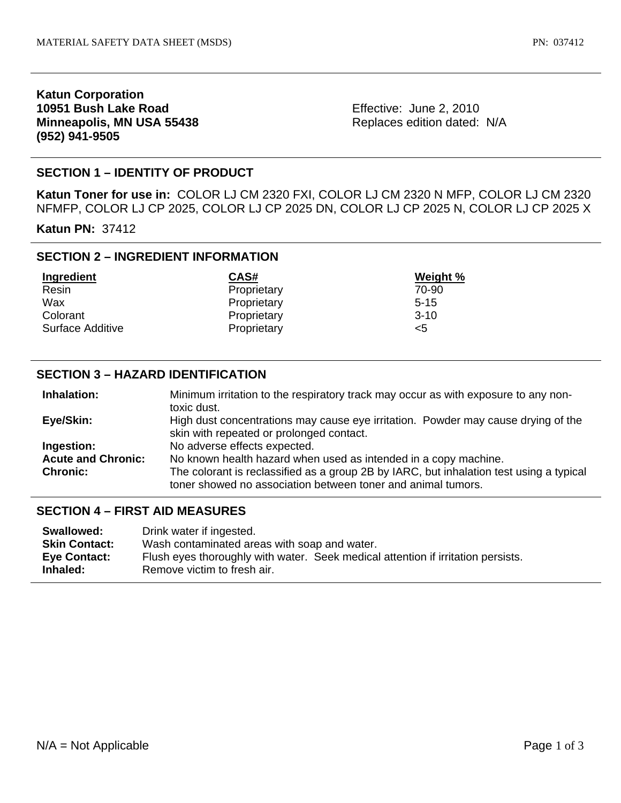## **Katun Corporation 10951 Bush Lake Road Minneapolis, MN USA 55438 (952) 941-9505**

Effective: June 2, 2010 Replaces edition dated: N/A

# **SECTION 1 – IDENTITY OF PRODUCT**

**Katun Toner for use in:** COLOR LJ CM 2320 FXI, COLOR LJ CM 2320 N MFP, COLOR LJ CM 2320 NFMFP, COLOR LJ CP 2025, COLOR LJ CP 2025 DN, COLOR LJ CP 2025 N, COLOR LJ CP 2025 X

**Katun PN:** 37412

## **SECTION 2 – INGREDIENT INFORMATION**

| Ingredient       | CAS#        | Weight % |
|------------------|-------------|----------|
| Resin            | Proprietary | 70-90    |
| Wax              | Proprietary | $5 - 15$ |
| Colorant         | Proprietary | $3-10$   |
| Surface Additive | Proprietary | <5       |

## **SECTION 3 – HAZARD IDENTIFICATION**

| Inhalation:               | Minimum irritation to the respiratory track may occur as with exposure to any non-      |  |
|---------------------------|-----------------------------------------------------------------------------------------|--|
|                           | toxic dust.                                                                             |  |
| Eye/Skin:                 | High dust concentrations may cause eye irritation. Powder may cause drying of the       |  |
|                           | skin with repeated or prolonged contact.                                                |  |
| Ingestion:                | No adverse effects expected.                                                            |  |
| <b>Acute and Chronic:</b> | No known health hazard when used as intended in a copy machine.                         |  |
| <b>Chronic:</b>           | The colorant is reclassified as a group 2B by IARC, but inhalation test using a typical |  |
|                           | toner showed no association between toner and animal tumors.                            |  |

#### **SECTION 4 – FIRST AID MEASURES**

| Swallowed:               | Drink water if ingested.                                                                                        |
|--------------------------|-----------------------------------------------------------------------------------------------------------------|
| <b>Skin Contact:</b>     | Wash contaminated areas with soap and water.                                                                    |
| Eye Contact:<br>Inhaled: | Flush eyes thoroughly with water. Seek medical attention if irritation persists.<br>Remove victim to fresh air. |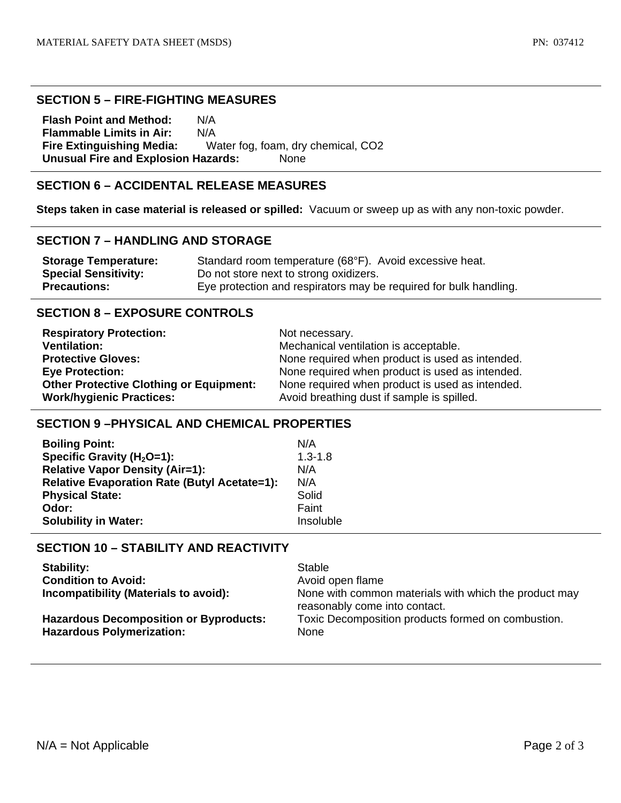#### **SECTION 5 – FIRE-FIGHTING MEASURES**

**Flash Point and Method:** N/A **Flammable Limits in Air:** N/A **Fire Extinguishing Media:** Water fog, foam, dry chemical, CO2 **Unusual Fire and Explosion Hazards:** None

# **SECTION 6 – ACCIDENTAL RELEASE MEASURES**

**Steps taken in case material is released or spilled:** Vacuum or sweep up as with any non-toxic powder.

### **SECTION 7 – HANDLING AND STORAGE**

| <b>Storage Temperature:</b> | Standard room temperature (68°F). Avoid excessive heat.           |
|-----------------------------|-------------------------------------------------------------------|
| <b>Special Sensitivity:</b> | Do not store next to strong oxidizers.                            |
| <b>Precautions:</b>         | Eye protection and respirators may be required for bulk handling. |

## **SECTION 8 – EXPOSURE CONTROLS**

| <b>Respiratory Protection:</b>                 | Not necessary.                                  |
|------------------------------------------------|-------------------------------------------------|
| <b>Ventilation:</b>                            | Mechanical ventilation is acceptable.           |
| <b>Protective Gloves:</b>                      | None required when product is used as intended. |
| <b>Eye Protection:</b>                         | None required when product is used as intended. |
| <b>Other Protective Clothing or Equipment:</b> | None required when product is used as intended. |
| <b>Work/hygienic Practices:</b>                | Avoid breathing dust if sample is spilled.      |

### **SECTION 9 –PHYSICAL AND CHEMICAL PROPERTIES**

| <b>Boiling Point:</b>                               | N/A         |
|-----------------------------------------------------|-------------|
| Specific Gravity ( $H_2O=1$ ):                      | $1.3 - 1.8$ |
| <b>Relative Vapor Density (Air=1):</b>              | N/A         |
| <b>Relative Evaporation Rate (Butyl Acetate=1):</b> | N/A         |
| <b>Physical State:</b>                              | Solid       |
| Odor:                                               | Faint       |
| <b>Solubility in Water:</b>                         | Insoluble   |

# **SECTION 10 – STABILITY AND REACTIVITY**

| <b>Stability:</b>                                                                 | Stable                                                                                 |
|-----------------------------------------------------------------------------------|----------------------------------------------------------------------------------------|
| <b>Condition to Avoid:</b>                                                        | Avoid open flame                                                                       |
| Incompatibility (Materials to avoid):                                             | None with common materials with which the product may<br>reasonably come into contact. |
| <b>Hazardous Decomposition or Byproducts:</b><br><b>Hazardous Polymerization:</b> | Toxic Decomposition products formed on combustion.<br><b>None</b>                      |